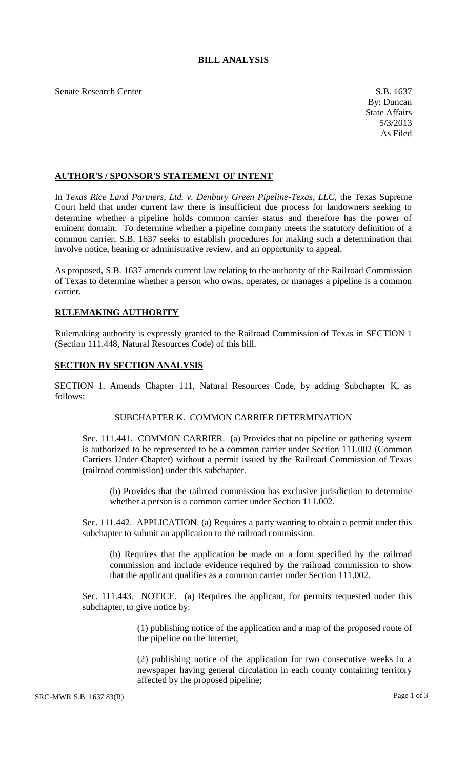# **BILL ANALYSIS**

Senate Research Center S.B. 1637

#### **AUTHOR'S / SPONSOR'S STATEMENT OF INTENT**

In *Texas Rice Land Partners, Ltd. v. Denbury Green Pipeline-Texas, LLC*, the Texas Supreme Court held that under current law there is insufficient due process for landowners seeking to determine whether a pipeline holds common carrier status and therefore has the power of eminent domain. To determine whether a pipeline company meets the statutory definition of a common carrier, S.B. 1637 seeks to establish procedures for making such a determination that involve notice, hearing or administrative review, and an opportunity to appeal.

As proposed, S.B. 1637 amends current law relating to the authority of the Railroad Commission of Texas to determine whether a person who owns, operates, or manages a pipeline is a common carrier.

## **RULEMAKING AUTHORITY**

Rulemaking authority is expressly granted to the Railroad Commission of Texas in SECTION 1 (Section 111.448, Natural Resources Code) of this bill.

#### **SECTION BY SECTION ANALYSIS**

SECTION 1. Amends Chapter 111, Natural Resources Code, by adding Subchapter K, as follows:

## SUBCHAPTER K. COMMON CARRIER DETERMINATION

Sec. 111.441. COMMON CARRIER. (a) Provides that no pipeline or gathering system is authorized to be represented to be a common carrier under Section 111.002 (Common Carriers Under Chapter) without a permit issued by the Railroad Commission of Texas (railroad commission) under this subchapter.

(b) Provides that the railroad commission has exclusive jurisdiction to determine whether a person is a common carrier under Section 111.002.

Sec. 111.442. APPLICATION. (a) Requires a party wanting to obtain a permit under this subchapter to submit an application to the railroad commission.

(b) Requires that the application be made on a form specified by the railroad commission and include evidence required by the railroad commission to show that the applicant qualifies as a common carrier under Section 111.002.

Sec. 111.443. NOTICE. (a) Requires the applicant, for permits requested under this subchapter, to give notice by:

> (1) publishing notice of the application and a map of the proposed route of the pipeline on the Internet;

> (2) publishing notice of the application for two consecutive weeks in a newspaper having general circulation in each county containing territory affected by the proposed pipeline;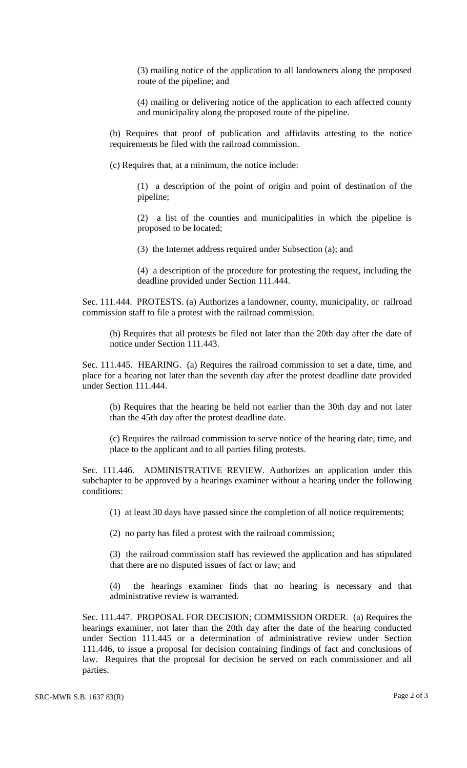(3) mailing notice of the application to all landowners along the proposed route of the pipeline; and

(4) mailing or delivering notice of the application to each affected county and municipality along the proposed route of the pipeline.

(b) Requires that proof of publication and affidavits attesting to the notice requirements be filed with the railroad commission.

(c) Requires that, at a minimum, the notice include:

(1) a description of the point of origin and point of destination of the pipeline;

(2) a list of the counties and municipalities in which the pipeline is proposed to be located;

(3) the Internet address required under Subsection (a); and

(4) a description of the procedure for protesting the request, including the deadline provided under Section 111.444.

Sec. 111.444. PROTESTS. (a) Authorizes a landowner, county, municipality, or railroad commission staff to file a protest with the railroad commission.

(b) Requires that all protests be filed not later than the 20th day after the date of notice under Section 111.443.

Sec. 111.445. HEARING. (a) Requires the railroad commission to set a date, time, and place for a hearing not later than the seventh day after the protest deadline date provided under Section 111.444.

(b) Requires that the hearing be held not earlier than the 30th day and not later than the 45th day after the protest deadline date.

(c) Requires the railroad commission to serve notice of the hearing date, time, and place to the applicant and to all parties filing protests.

Sec. 111.446. ADMINISTRATIVE REVIEW. Authorizes an application under this subchapter to be approved by a hearings examiner without a hearing under the following conditions:

(1) at least 30 days have passed since the completion of all notice requirements;

(2) no party has filed a protest with the railroad commission;

(3) the railroad commission staff has reviewed the application and has stipulated that there are no disputed issues of fact or law; and

(4) the hearings examiner finds that no hearing is necessary and that administrative review is warranted.

Sec. 111.447. PROPOSAL FOR DECISION; COMMISSION ORDER. (a) Requires the hearings examiner, not later than the 20th day after the date of the hearing conducted under Section 111.445 or a determination of administrative review under Section 111.446, to issue a proposal for decision containing findings of fact and conclusions of law. Requires that the proposal for decision be served on each commissioner and all parties.